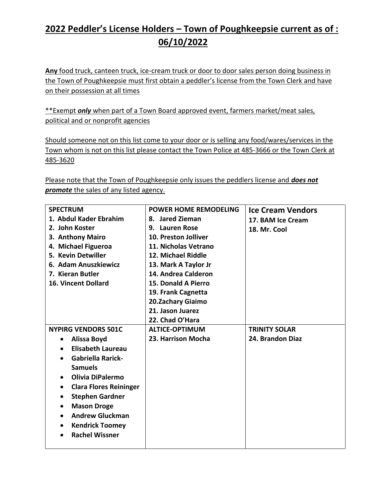## **2022 Peddler's License Holders – Town of Poughkeepsie current as of : 06/10/2022**

**Any** food truck, canteen truck, ice-cream truck or door to door sales person doing business in the Town of Poughkeepsie must first obtain a peddler's license from the Town Clerk and have on their possession at all times

\*\*Exempt *only* when part of a Town Board approved event, farmers market/meat sales, political and or nonprofit agencies

Should someone not on this list come to your door or is selling any food/wares/services in the Town whom is not on this list please contact the Town Police at 485-3666 or the Town Clerk at 485-3620

Please note that the Town of Poughkeepsie only issues the peddlers license and *does not promote* the sales of any listed agency.

| <b>SPECTRUM</b>                     | <b>POWER HOME REMODELING</b> | <b>Ice Cream Vendors</b> |
|-------------------------------------|------------------------------|--------------------------|
| 1. Abdul Kader Ebrahim              | 8. Jared Zieman              | 17. BAM Ice Cream        |
| 2. John Koster                      | 9. Lauren Rose               | 18. Mr. Cool             |
| 3. Anthony Mairo                    | 10. Preston Jolliver         |                          |
| 4. Michael Figueroa                 | 11. Nicholas Vetrano         |                          |
| 5. Kevin Detwiller                  | 12. Michael Riddle           |                          |
| 6. Adam Anuszkiewicz                | 13. Mark A Taylor Jr         |                          |
| 7. Kieran Butler                    | 14. Andrea Calderon          |                          |
| <b>16. Vincent Dollard</b>          | <b>15. Donald A Pierro</b>   |                          |
|                                     | 19. Frank Cagnetta           |                          |
|                                     | 20.Zachary Giaimo            |                          |
|                                     | 21. Jason Juarez             |                          |
|                                     | 22. Chad O'Hara              |                          |
| <b>NYPIRG VENDORS 501C</b>          | <b>ALTICE-OPTIMUM</b>        | <b>TRINITY SOLAR</b>     |
| <b>Alissa Boyd</b><br>$\bullet$     | 23. Harrison Mocha           | 24. Brandon Diaz         |
| <b>Elisabeth Laureau</b>            |                              |                          |
| <b>Gabriella Rarick-</b>            |                              |                          |
| <b>Samuels</b>                      |                              |                          |
| <b>Olivia DiPalermo</b>             |                              |                          |
| <b>Clara Flores Reininger</b><br>٠  |                              |                          |
| <b>Stephen Gardner</b><br>$\bullet$ |                              |                          |
| <b>Mason Droge</b><br>٠             |                              |                          |
| <b>Andrew Gluckman</b><br>$\bullet$ |                              |                          |
| <b>Kendrick Toomey</b><br>٠         |                              |                          |
| <b>Rachel Wissner</b>               |                              |                          |
|                                     |                              |                          |
|                                     |                              |                          |